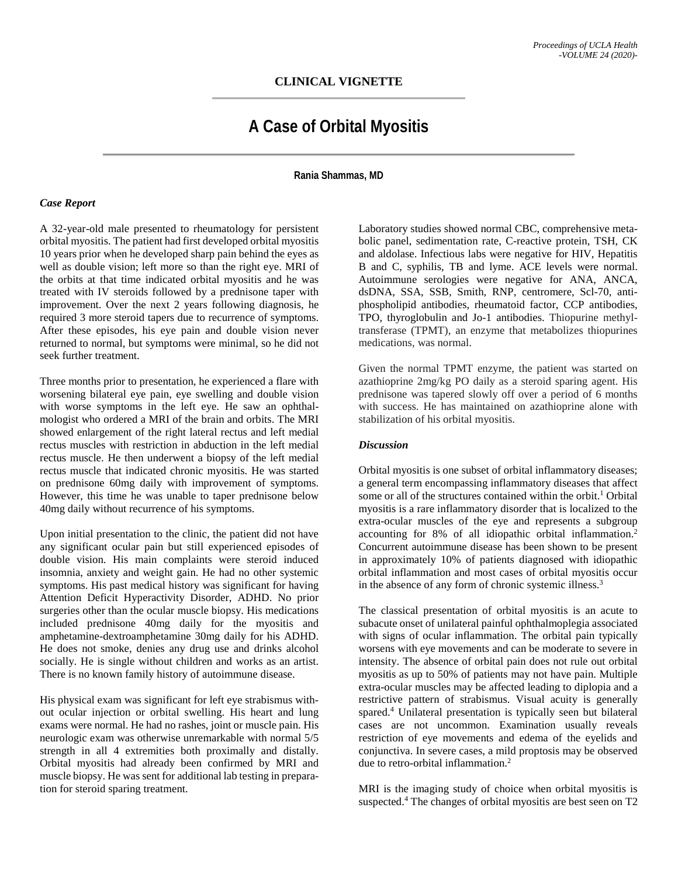# **CLINICAL VIGNETTE**

# **A Case of Orbital Myositis**

**Rania Shammas, MD**

#### *Case Report*

A 32-year-old male presented to rheumatology for persistent orbital myositis. The patient had first developed orbital myositis 10 years prior when he developed sharp pain behind the eyes as well as double vision; left more so than the right eye. MRI of the orbits at that time indicated orbital myositis and he was treated with IV steroids followed by a prednisone taper with improvement. Over the next 2 years following diagnosis, he required 3 more steroid tapers due to recurrence of symptoms. After these episodes, his eye pain and double vision never returned to normal, but symptoms were minimal, so he did not seek further treatment.

Three months prior to presentation, he experienced a flare with worsening bilateral eye pain, eye swelling and double vision with worse symptoms in the left eye. He saw an ophthalmologist who ordered a MRI of the brain and orbits. The MRI showed enlargement of the right lateral rectus and left medial rectus muscles with restriction in abduction in the left medial rectus muscle. He then underwent a biopsy of the left medial rectus muscle that indicated chronic myositis. He was started on prednisone 60mg daily with improvement of symptoms. However, this time he was unable to taper prednisone below 40mg daily without recurrence of his symptoms.

Upon initial presentation to the clinic, the patient did not have any significant ocular pain but still experienced episodes of double vision. His main complaints were steroid induced insomnia, anxiety and weight gain. He had no other systemic symptoms. His past medical history was significant for having Attention Deficit Hyperactivity Disorder, ADHD. No prior surgeries other than the ocular muscle biopsy. His medications included prednisone 40mg daily for the myositis and amphetamine-dextroamphetamine 30mg daily for his ADHD. He does not smoke, denies any drug use and drinks alcohol socially. He is single without children and works as an artist. There is no known family history of autoimmune disease.

His physical exam was significant for left eye strabismus without ocular injection or orbital swelling. His heart and lung exams were normal. He had no rashes, joint or muscle pain. His neurologic exam was otherwise unremarkable with normal 5/5 strength in all 4 extremities both proximally and distally. Orbital myositis had already been confirmed by MRI and muscle biopsy. He was sent for additional lab testing in preparation for steroid sparing treatment.

Laboratory studies showed normal CBC, comprehensive metabolic panel, sedimentation rate, C-reactive protein, TSH, CK and aldolase. Infectious labs were negative for HIV, Hepatitis B and C, syphilis, TB and lyme. ACE levels were normal. Autoimmune serologies were negative for ANA, ANCA, dsDNA, SSA, SSB, Smith, RNP, centromere, Scl-70, antiphospholipid antibodies, rheumatoid factor, CCP antibodies, TPO, thyroglobulin and Jo-1 antibodies. Thiopurine methyltransferase (TPMT), an enzyme that metabolizes thiopurines medications, was normal.

Given the normal TPMT enzyme, the patient was started on azathioprine 2mg/kg PO daily as a steroid sparing agent. His prednisone was tapered slowly off over a period of 6 months with success. He has maintained on azathioprine alone with stabilization of his orbital myositis.

## *Discussion*

Orbital myositis is one subset of orbital inflammatory diseases; a general term encompassing inflammatory diseases that affect some or all of the structures contained within the orbit.<sup>1</sup> Orbital myositis is a rare inflammatory disorder that is localized to the extra-ocular muscles of the eye and represents a subgroup accounting for 8% of all idiopathic orbital inflammation. 2 Concurrent autoimmune disease has been shown to be present in approximately 10% of patients diagnosed with idiopathic orbital inflammation and most cases of orbital myositis occur in the absence of any form of chronic systemic illness.<sup>3</sup>

The classical presentation of orbital myositis is an acute to subacute onset of unilateral painful ophthalmoplegia associated with signs of ocular inflammation. The orbital pain typically worsens with eye movements and can be moderate to severe in intensity. The absence of orbital pain does not rule out orbital myositis as up to 50% of patients may not have pain. Multiple extra-ocular muscles may be affected leading to diplopia and a restrictive pattern of strabismus. Visual acuity is generally spared.4 Unilateral presentation is typically seen but bilateral cases are not uncommon. Examination usually reveals restriction of eye movements and edema of the eyelids and conjunctiva. In severe cases, a mild proptosis may be observed due to retro-orbital inflammation.<sup>2</sup>

MRI is the imaging study of choice when orbital myositis is suspected.<sup>4</sup> The changes of orbital myositis are best seen on T2